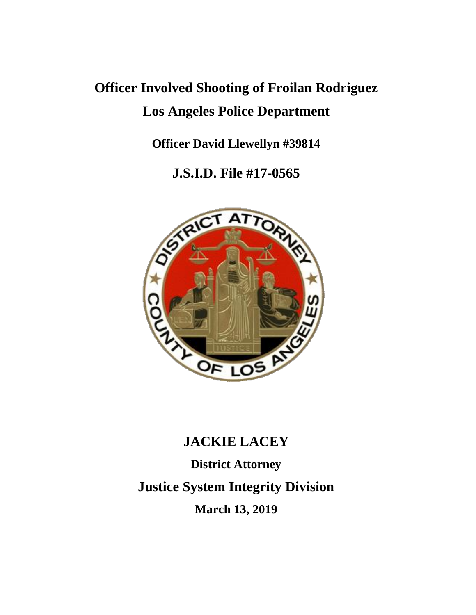# **Officer Involved Shooting of Froilan Rodriguez Los Angeles Police Department**

**Officer David Llewellyn #39814**

**J.S.I.D. File #17-0565**



# **JACKIE LACEY**

**District Attorney Justice System Integrity Division March 13, 2019**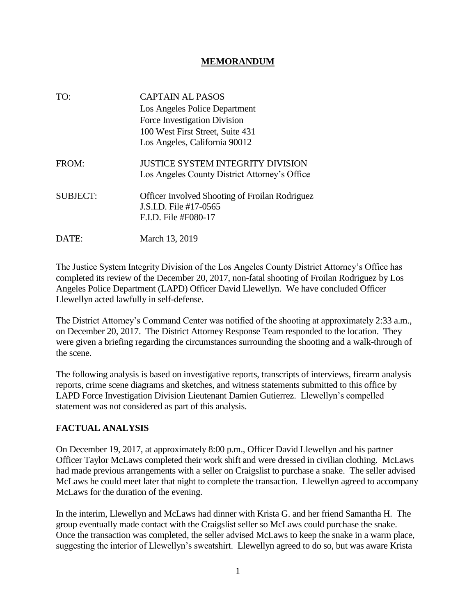#### **MEMORANDUM**

| TO:             | <b>CAPTAIN AL PASOS</b>                                                                                 |
|-----------------|---------------------------------------------------------------------------------------------------------|
|                 | Los Angeles Police Department                                                                           |
|                 | Force Investigation Division                                                                            |
|                 | 100 West First Street, Suite 431                                                                        |
|                 | Los Angeles, California 90012                                                                           |
| FROM:           | <b>JUSTICE SYSTEM INTEGRITY DIVISION</b><br>Los Angeles County District Attorney's Office               |
| <b>SUBJECT:</b> | <b>Officer Involved Shooting of Froilan Rodriguez</b><br>J.S.I.D. File #17-0565<br>F.I.D. File #F080-17 |
| DATE:           | March 13, 2019                                                                                          |

The Justice System Integrity Division of the Los Angeles County District Attorney's Office has completed its review of the December 20, 2017, non-fatal shooting of Froilan Rodriguez by Los Angeles Police Department (LAPD) Officer David Llewellyn. We have concluded Officer Llewellyn acted lawfully in self-defense.

The District Attorney's Command Center was notified of the shooting at approximately 2:33 a.m., on December 20, 2017. The District Attorney Response Team responded to the location. They were given a briefing regarding the circumstances surrounding the shooting and a walk-through of the scene.

The following analysis is based on investigative reports, transcripts of interviews, firearm analysis reports, crime scene diagrams and sketches, and witness statements submitted to this office by LAPD Force Investigation Division Lieutenant Damien Gutierrez. Llewellyn's compelled statement was not considered as part of this analysis.

#### **FACTUAL ANALYSIS**

On December 19, 2017, at approximately 8:00 p.m., Officer David Llewellyn and his partner Officer Taylor McLaws completed their work shift and were dressed in civilian clothing. McLaws had made previous arrangements with a seller on Craigslist to purchase a snake. The seller advised McLaws he could meet later that night to complete the transaction. Llewellyn agreed to accompany McLaws for the duration of the evening.

In the interim, Llewellyn and McLaws had dinner with Krista G. and her friend Samantha H. The group eventually made contact with the Craigslist seller so McLaws could purchase the snake. Once the transaction was completed, the seller advised McLaws to keep the snake in a warm place, suggesting the interior of Llewellyn's sweatshirt. Llewellyn agreed to do so, but was aware Krista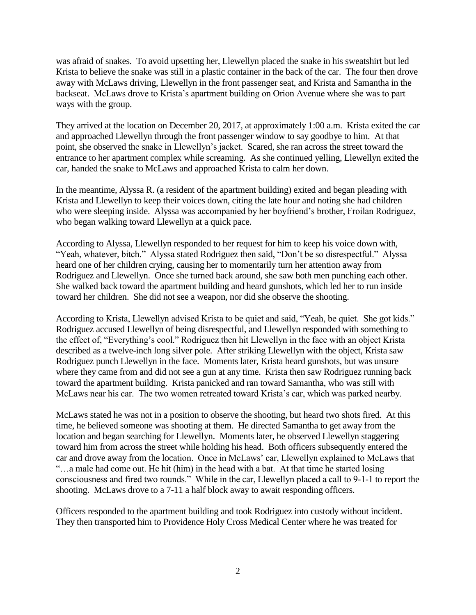was afraid of snakes. To avoid upsetting her, Llewellyn placed the snake in his sweatshirt but led Krista to believe the snake was still in a plastic container in the back of the car. The four then drove away with McLaws driving, Llewellyn in the front passenger seat, and Krista and Samantha in the backseat. McLaws drove to Krista's apartment building on Orion Avenue where she was to part ways with the group.

They arrived at the location on December 20, 2017, at approximately 1:00 a.m. Krista exited the car and approached Llewellyn through the front passenger window to say goodbye to him. At that point, she observed the snake in Llewellyn's jacket. Scared, she ran across the street toward the entrance to her apartment complex while screaming. As she continued yelling, Llewellyn exited the car, handed the snake to McLaws and approached Krista to calm her down.

In the meantime, Alyssa R. (a resident of the apartment building) exited and began pleading with Krista and Llewellyn to keep their voices down, citing the late hour and noting she had children who were sleeping inside. Alyssa was accompanied by her boyfriend's brother, Froilan Rodriguez, who began walking toward Llewellyn at a quick pace.

According to Alyssa, Llewellyn responded to her request for him to keep his voice down with, "Yeah, whatever, bitch." Alyssa stated Rodriguez then said, "Don't be so disrespectful." Alyssa heard one of her children crying, causing her to momentarily turn her attention away from Rodriguez and Llewellyn. Once she turned back around, she saw both men punching each other. She walked back toward the apartment building and heard gunshots, which led her to run inside toward her children. She did not see a weapon, nor did she observe the shooting.

According to Krista, Llewellyn advised Krista to be quiet and said, "Yeah, be quiet. She got kids." Rodriguez accused Llewellyn of being disrespectful, and Llewellyn responded with something to the effect of, "Everything's cool." Rodriguez then hit Llewellyn in the face with an object Krista described as a twelve-inch long silver pole. After striking Llewellyn with the object, Krista saw Rodriguez punch Llewellyn in the face. Moments later, Krista heard gunshots, but was unsure where they came from and did not see a gun at any time. Krista then saw Rodriguez running back toward the apartment building. Krista panicked and ran toward Samantha, who was still with McLaws near his car. The two women retreated toward Krista's car, which was parked nearby.

McLaws stated he was not in a position to observe the shooting, but heard two shots fired. At this time, he believed someone was shooting at them. He directed Samantha to get away from the location and began searching for Llewellyn. Moments later, he observed Llewellyn staggering toward him from across the street while holding his head. Both officers subsequently entered the car and drove away from the location. Once in McLaws' car, Llewellyn explained to McLaws that "…a male had come out. He hit (him) in the head with a bat. At that time he started losing consciousness and fired two rounds." While in the car, Llewellyn placed a call to 9-1-1 to report the shooting. McLaws drove to a 7-11 a half block away to await responding officers.

Officers responded to the apartment building and took Rodriguez into custody without incident. They then transported him to Providence Holy Cross Medical Center where he was treated for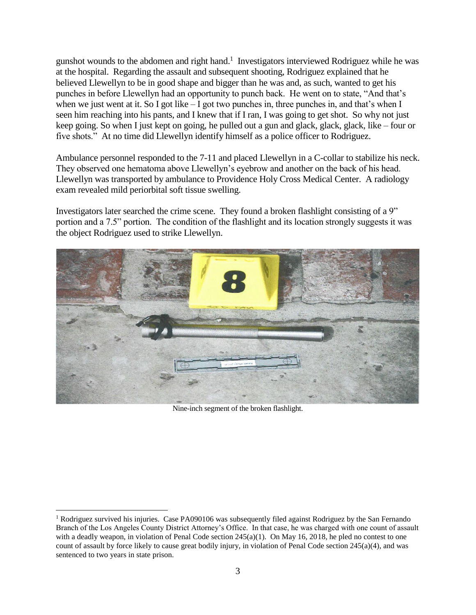gunshot wounds to the abdomen and right hand.<sup>1</sup> Investigators interviewed Rodriguez while he was at the hospital. Regarding the assault and subsequent shooting, Rodriguez explained that he believed Llewellyn to be in good shape and bigger than he was and, as such, wanted to get his punches in before Llewellyn had an opportunity to punch back. He went on to state, "And that's when we just went at it. So I got like – I got two punches in, three punches in, and that's when I seen him reaching into his pants, and I knew that if I ran, I was going to get shot. So why not just keep going. So when I just kept on going, he pulled out a gun and glack, glack, glack, like – four or five shots." At no time did Llewellyn identify himself as a police officer to Rodriguez.

Ambulance personnel responded to the 7-11 and placed Llewellyn in a C-collar to stabilize his neck. They observed one hematoma above Llewellyn's eyebrow and another on the back of his head. Llewellyn was transported by ambulance to Providence Holy Cross Medical Center. A radiology exam revealed mild periorbital soft tissue swelling.

Investigators later searched the crime scene. They found a broken flashlight consisting of a 9" portion and a 7.5" portion. The condition of the flashlight and its location strongly suggests it was the object Rodriguez used to strike Llewellyn.



Nine-inch segment of the broken flashlight.

 $\overline{a}$ 

<sup>&</sup>lt;sup>1</sup> Rodriguez survived his injuries. Case PA090106 was subsequently filed against Rodriguez by the San Fernando Branch of the Los Angeles County District Attorney's Office. In that case, he was charged with one count of assault with a deadly weapon, in violation of Penal Code section 245(a)(1). On May 16, 2018, he pled no contest to one count of assault by force likely to cause great bodily injury, in violation of Penal Code section 245(a)(4), and was sentenced to two years in state prison.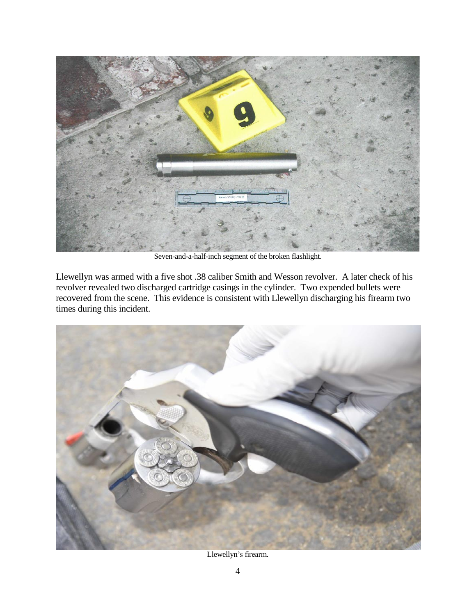

Seven-and-a-half-inch segment of the broken flashlight.

Llewellyn was armed with a five shot .38 caliber Smith and Wesson revolver. A later check of his revolver revealed two discharged cartridge casings in the cylinder. Two expended bullets were recovered from the scene. This evidence is consistent with Llewellyn discharging his firearm two times during this incident.



Llewellyn's firearm.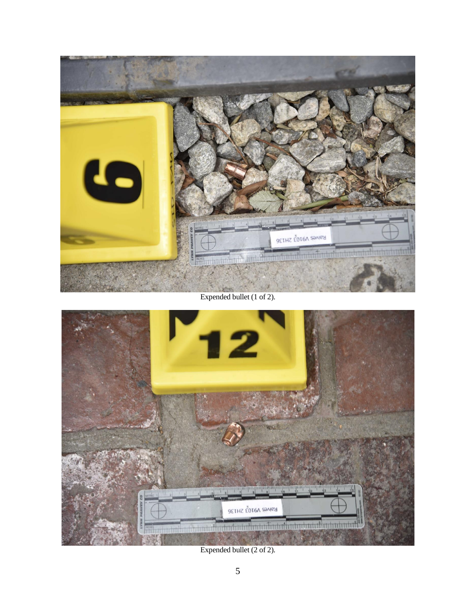

Expended bullet (1 of 2).



Expended bullet (2 of 2).